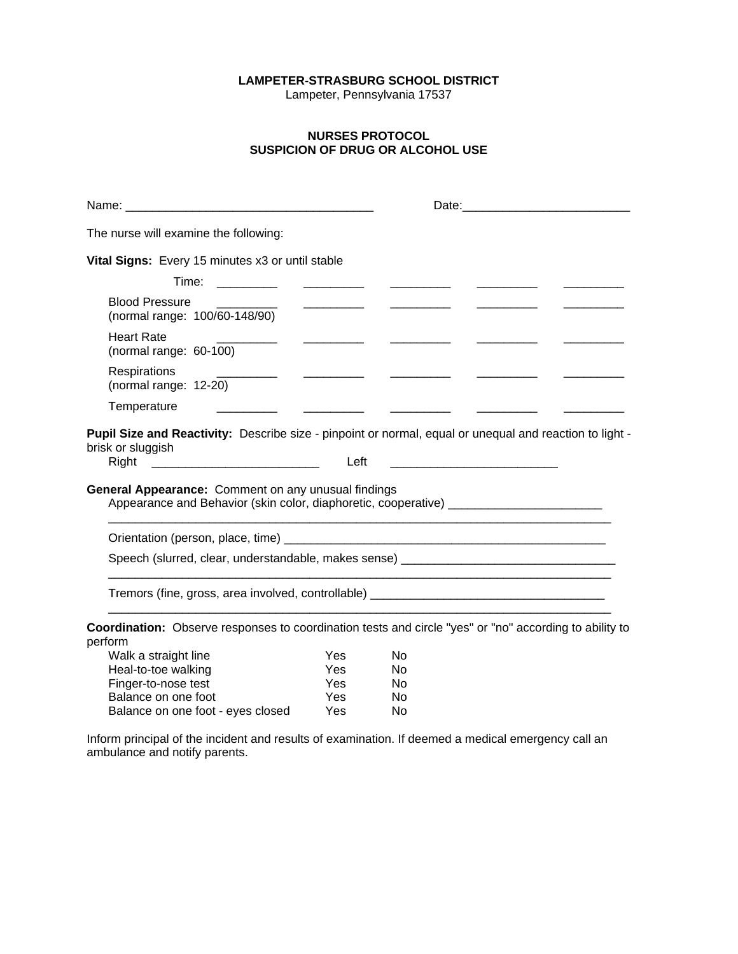## **LAMPETER-STRASBURG SCHOOL DISTRICT**

Lampeter, Pennsylvania 17537

## **NURSES PROTOCOL SUSPICION OF DRUG OR ALCOHOL USE**

|                                                                                                                                                                                                                                                                                 |                                                                                                                                                                                                                                                                                                                                                                                                                                                                                       |                      | Date: 2008 2010 2010 2021 2022 2023 2024 2022 2022 2023 2024 2022 2023 2024 2022 2023 2024 2022 2023 2024 2025 |
|---------------------------------------------------------------------------------------------------------------------------------------------------------------------------------------------------------------------------------------------------------------------------------|---------------------------------------------------------------------------------------------------------------------------------------------------------------------------------------------------------------------------------------------------------------------------------------------------------------------------------------------------------------------------------------------------------------------------------------------------------------------------------------|----------------------|----------------------------------------------------------------------------------------------------------------|
| The nurse will examine the following:                                                                                                                                                                                                                                           |                                                                                                                                                                                                                                                                                                                                                                                                                                                                                       |                      |                                                                                                                |
| Vital Signs: Every 15 minutes x3 or until stable                                                                                                                                                                                                                                |                                                                                                                                                                                                                                                                                                                                                                                                                                                                                       |                      |                                                                                                                |
|                                                                                                                                                                                                                                                                                 |                                                                                                                                                                                                                                                                                                                                                                                                                                                                                       | <u>Communication</u> |                                                                                                                |
| <b>Blood Pressure</b><br>(normal range: 100/60-148/90)                                                                                                                                                                                                                          | $\begin{array}{cccccccccc} \hline \multicolumn{3}{c}{} & \multicolumn{3}{c}{} & \multicolumn{3}{c}{} & \multicolumn{3}{c}{} & \multicolumn{3}{c}{} & \multicolumn{3}{c}{} & \multicolumn{3}{c}{} & \multicolumn{3}{c}{} & \multicolumn{3}{c}{} & \multicolumn{3}{c}{} & \multicolumn{3}{c}{} & \multicolumn{3}{c}{} & \multicolumn{3}{c}{} & \multicolumn{3}{c}{} & \multicolumn{3}{c}{} & \multicolumn{3}{c}{} & \multicolumn{3}{c}{} & \multicolumn{3}{c}{} & \multicolumn{3}{c}{}$ |                      |                                                                                                                |
| <b>Heart Rate</b><br>(normal range: 60-100)                                                                                                                                                                                                                                     | <u> 1986 - Alexandr Alexandr III e San A</u>                                                                                                                                                                                                                                                                                                                                                                                                                                          |                      |                                                                                                                |
| Respirations<br>(normal range: 12-20)                                                                                                                                                                                                                                           |                                                                                                                                                                                                                                                                                                                                                                                                                                                                                       |                      |                                                                                                                |
| Temperature                                                                                                                                                                                                                                                                     |                                                                                                                                                                                                                                                                                                                                                                                                                                                                                       |                      |                                                                                                                |
| Pupil Size and Reactivity: Describe size - pinpoint or normal, equal or unequal and reaction to light -<br>brisk or sluggish<br><b>General Appearance:</b> Comment on any unusual findings<br>Appearance and Behavior (skin color, diaphoretic, cooperative) __________________ | Left                                                                                                                                                                                                                                                                                                                                                                                                                                                                                  |                      |                                                                                                                |
|                                                                                                                                                                                                                                                                                 |                                                                                                                                                                                                                                                                                                                                                                                                                                                                                       |                      |                                                                                                                |
| Speech (slurred, clear, understandable, makes sense) ____________________________                                                                                                                                                                                               |                                                                                                                                                                                                                                                                                                                                                                                                                                                                                       |                      |                                                                                                                |
| Tremors (fine, gross, area involved, controllable) _____________________________                                                                                                                                                                                                |                                                                                                                                                                                                                                                                                                                                                                                                                                                                                       |                      |                                                                                                                |
| Coordination: Observe responses to coordination tests and circle "yes" or "no" according to ability to<br>perform                                                                                                                                                               |                                                                                                                                                                                                                                                                                                                                                                                                                                                                                       |                      |                                                                                                                |
| Walk a straight line                                                                                                                                                                                                                                                            | <b>Yes</b>                                                                                                                                                                                                                                                                                                                                                                                                                                                                            | No                   |                                                                                                                |
| Heal-to-toe walking                                                                                                                                                                                                                                                             | <b>Yes</b>                                                                                                                                                                                                                                                                                                                                                                                                                                                                            | No                   |                                                                                                                |
| Finger-to-nose test                                                                                                                                                                                                                                                             | Yes                                                                                                                                                                                                                                                                                                                                                                                                                                                                                   | No                   |                                                                                                                |
| Balance on one foot                                                                                                                                                                                                                                                             | Yes                                                                                                                                                                                                                                                                                                                                                                                                                                                                                   | No                   |                                                                                                                |

Inform principal of the incident and results of examination. If deemed a medical emergency call an ambulance and notify parents.

Balance on one foot - eyes closed Yes No